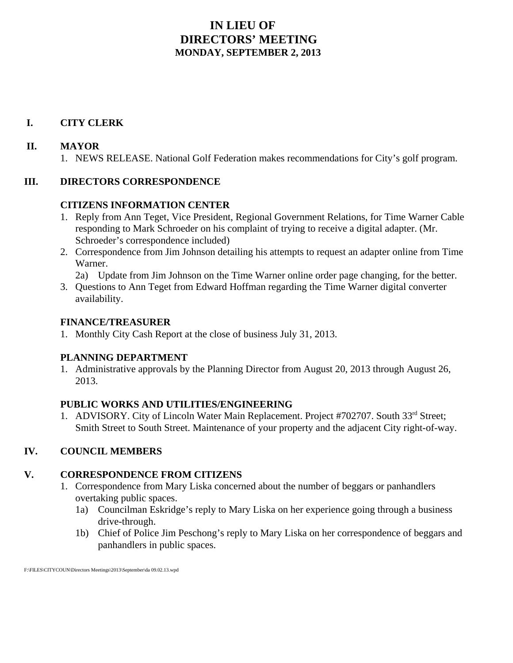### **IN LIEU OF DIRECTORS' MEETING MONDAY, SEPTEMBER 2, 2013**

### **I. CITY CLERK**

### **II. MAYOR**

1. NEWS RELEASE. National Golf Federation makes recommendations for City's golf program.

### **III. DIRECTORS CORRESPONDENCE**

### **CITIZENS INFORMATION CENTER**

- 1. Reply from Ann Teget, Vice President, Regional Government Relations, for Time Warner Cable responding to Mark Schroeder on his complaint of trying to receive a digital adapter. (Mr. Schroeder's correspondence included)
- 2. Correspondence from Jim Johnson detailing his attempts to request an adapter online from Time Warner.
	- 2a) Update from Jim Johnson on the Time Warner online order page changing, for the better.
- 3. Questions to Ann Teget from Edward Hoffman regarding the Time Warner digital converter availability.

### **FINANCE/TREASURER**

1. Monthly City Cash Report at the close of business July 31, 2013.

### **PLANNING DEPARTMENT**

1. Administrative approvals by the Planning Director from August 20, 2013 through August 26, 2013.

### **PUBLIC WORKS AND UTILITIES/ENGINEERING**

1. ADVISORY. City of Lincoln Water Main Replacement. Project #702707. South 33<sup>rd</sup> Street; Smith Street to South Street. Maintenance of your property and the adjacent City right-of-way.

### **IV. COUNCIL MEMBERS**

### **V. CORRESPONDENCE FROM CITIZENS**

- 1. Correspondence from Mary Liska concerned about the number of beggars or panhandlers overtaking public spaces.
	- 1a) Councilman Eskridge's reply to Mary Liska on her experience going through a business drive-through.
	- 1b) Chief of Police Jim Peschong's reply to Mary Liska on her correspondence of beggars and panhandlers in public spaces.

F:\FILES\CITYCOUN\Directors Meetings\2013\September\da 09.02.13.wpd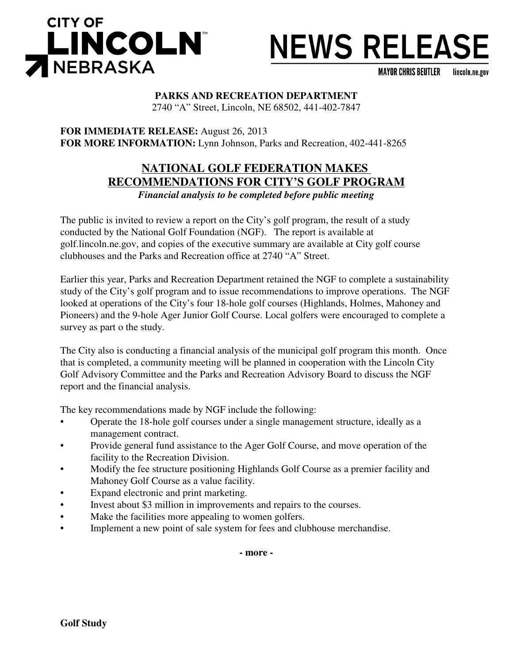

# **NEWS RELEASE**

**MAYOR CHRIS BEUTLER** lincoln.ne.gov

### **PARKS AND RECREATION DEPARTMENT**

2740 "A" Street, Lincoln, NE 68502, 441-402-7847

**FOR IMMEDIATE RELEASE:** August 26, 2013 **FOR MORE INFORMATION:** Lynn Johnson, Parks and Recreation, 402-441-8265

### **NATIONAL GOLF FEDERATION MAKES RECOMMENDATIONS FOR CITY'S GOLF PROGRAM** *Financial analysis to be completed before public meeting*

The public is invited to review a report on the City's golf program, the result of a study conducted by the National Golf Foundation (NGF). The report is available at golf.lincoln.ne.gov, and copies of the executive summary are available at City golf course clubhouses and the Parks and Recreation office at 2740 "A" Street.

Earlier this year, Parks and Recreation Department retained the NGF to complete a sustainability study of the City's golf program and to issue recommendations to improve operations. The NGF looked at operations of the City's four 18-hole golf courses (Highlands, Holmes, Mahoney and Pioneers) and the 9-hole Ager Junior Golf Course. Local golfers were encouraged to complete a survey as part o the study.

The City also is conducting a financial analysis of the municipal golf program this month. Once that is completed, a community meeting will be planned in cooperation with the Lincoln City Golf Advisory Committee and the Parks and Recreation Advisory Board to discuss the NGF report and the financial analysis.

The key recommendations made by NGF include the following:

- Operate the 18-hole golf courses under a single management structure, ideally as a management contract.
- Provide general fund assistance to the Ager Golf Course, and move operation of the facility to the Recreation Division.
- Modify the fee structure positioning Highlands Golf Course as a premier facility and Mahoney Golf Course as a value facility.
- Expand electronic and print marketing.
- Invest about \$3 million in improvements and repairs to the courses.
- Make the facilities more appealing to women golfers.
- Implement a new point of sale system for fees and clubhouse merchandise.

**- more -**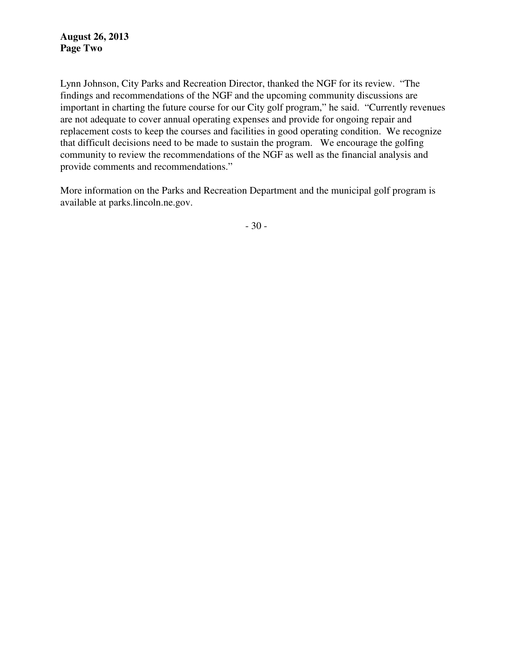Lynn Johnson, City Parks and Recreation Director, thanked the NGF for its review. "The findings and recommendations of the NGF and the upcoming community discussions are important in charting the future course for our City golf program," he said. "Currently revenues are not adequate to cover annual operating expenses and provide for ongoing repair and replacement costs to keep the courses and facilities in good operating condition. We recognize that difficult decisions need to be made to sustain the program. We encourage the golfing community to review the recommendations of the NGF as well as the financial analysis and provide comments and recommendations."

More information on the Parks and Recreation Department and the municipal golf program is available at parks.lincoln.ne.gov.

- 30 -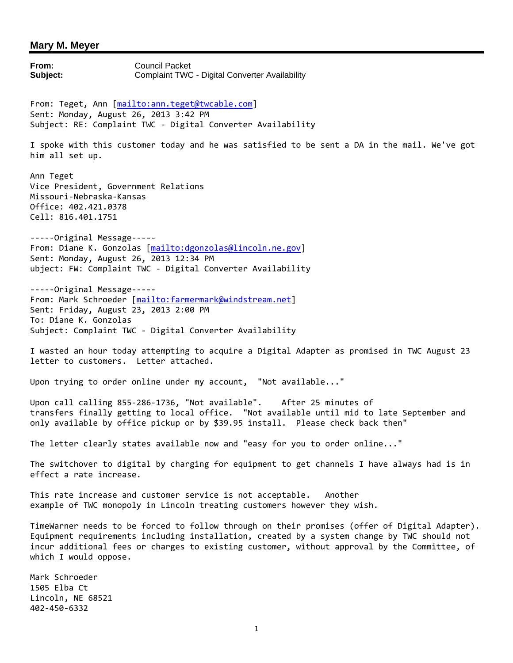**From:** Council Packet **Subject:** Complaint TWC - Digital Converter Availability From: Teget, Ann [mailto:ann.teget@twcable.com] Sent: Monday, August 26, 2013 3:42 PM Subject: RE: Complaint TWC - Digital Converter Availability I spoke with this customer today and he was satisfied to be sent a DA in the mail. We've got him all set up. Ann Teget Vice President, Government Relations Missouri-Nebraska-Kansas Office: 402.421.0378 Cell: 816.401.1751 -----Original Message----- From: Diane K. Gonzolas [mailto:dgonzolas@lincoln.ne.gov] Sent: Monday, August 26, 2013 12:34 PM ubject: FW: Complaint TWC - Digital Converter Availability -----Original Message----- From: Mark Schroeder [mailto:farmermark@windstream.net] Sent: Friday, August 23, 2013 2:00 PM To: Diane K. Gonzolas Subject: Complaint TWC - Digital Converter Availability I wasted an hour today attempting to acquire a Digital Adapter as promised in TWC August 23 letter to customers. Letter attached. Upon trying to order online under my account, "Not available..." Upon call calling 855-286-1736, "Not available". After 25 minutes of transfers finally getting to local office. "Not available until mid to late September and only available by office pickup or by \$39.95 install. Please check back then" The letter clearly states available now and "easy for you to order online..." The switchover to digital by charging for equipment to get channels I have always had is in effect a rate increase. This rate increase and customer service is not acceptable. Another example of TWC monopoly in Lincoln treating customers however they wish. TimeWarner needs to be forced to follow through on their promises (offer of Digital Adapter). Equipment requirements including installation, created by a system change by TWC should not incur additional fees or charges to existing customer, without approval by the Committee, of which I would oppose. Mark Schroeder 1505 Elba Ct Lincoln, NE 68521 402-450-6332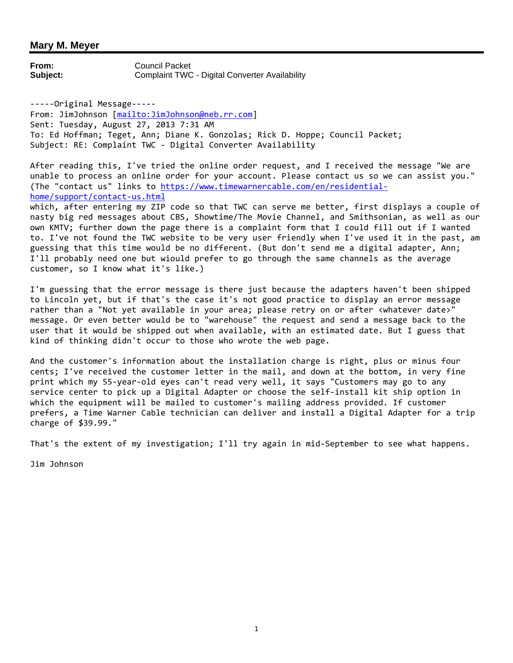**From:** Council Packet **Subject:** Complaint TWC - Digital Converter Availability

-----Original Message----- From: JimJohnson [mailto:JimJohnson@neb.rr.com] Sent: Tuesday, August 27, 2013 7:31 AM To: Ed Hoffman; Teget, Ann; Diane K. Gonzolas; Rick D. Hoppe; Council Packet; Subject: RE: Complaint TWC - Digital Converter Availability

After reading this, I've tried the online order request, and I received the message "We are unable to process an online order for your account. Please contact us so we can assist you." (The "contact us" links to https://www.timewarnercable.com/en/residentialhome/support/contact-us.html

which, after entering my ZIP code so that TWC can serve me better, first displays a couple of nasty big red messages about CBS, Showtime/The Movie Channel, and Smithsonian, as well as our own KMTV; further down the page there is a complaint form that I could fill out if I wanted to. I've not found the TWC website to be very user friendly when I've used it in the past, am guessing that this time would be no different. (But don't send me a digital adapter, Ann; I'll probably need one but wiould prefer to go through the same channels as the average customer, so I know what it's like.)

I'm guessing that the error message is there just because the adapters haven't been shipped to Lincoln yet, but if that's the case it's not good practice to display an error message rather than a "Not yet available in your area; please retry on or after <whatever date>" message. Or even better would be to "warehouse" the request and send a message back to the user that it would be shipped out when available, with an estimated date. But I guess that kind of thinking didn't occur to those who wrote the web page.

And the customer's information about the installation charge is right, plus or minus four cents; I've received the customer letter in the mail, and down at the bottom, in very fine print which my 55-year-old eyes can't read very well, it says "Customers may go to any service center to pick up a Digital Adapter or choose the self-install kit ship option in which the equipment will be mailed to customer's mailing address provided. If customer prefers, a Time Warner Cable technician can deliver and install a Digital Adapter for a trip charge of \$39.99."

That's the extent of my investigation; I'll try again in mid-September to see what happens.

Jim Johnson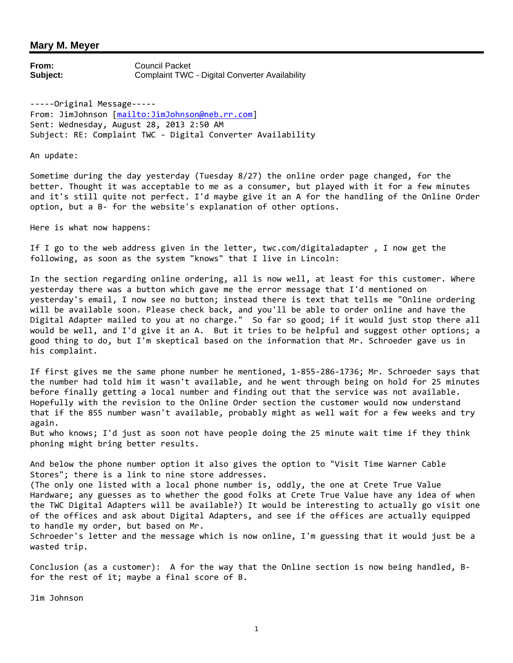**From:** Council Packet **Subject:** Complaint TWC - Digital Converter Availability

-----Original Message----- From: JimJohnson [mailto:JimJohnson@neb.rr.com] Sent: Wednesday, August 28, 2013 2:50 AM Subject: RE: Complaint TWC - Digital Converter Availability

An update:

Sometime during the day yesterday (Tuesday 8/27) the online order page changed, for the better. Thought it was acceptable to me as a consumer, but played with it for a few minutes and it's still quite not perfect. I'd maybe give it an A for the handling of the Online Order option, but a B- for the website's explanation of other options.

Here is what now happens:

If I go to the web address given in the letter, twc.com/digitaladapter , I now get the following, as soon as the system "knows" that I live in Lincoln:

In the section regarding online ordering, all is now well, at least for this customer. Where yesterday there was a button which gave me the error message that I'd mentioned on yesterday's email, I now see no button; instead there is text that tells me "Online ordering will be available soon. Please check back, and you'll be able to order online and have the Digital Adapter mailed to you at no charge." So far so good; if it would just stop there all would be well, and I'd give it an A. But it tries to be helpful and suggest other options; a good thing to do, but I'm skeptical based on the information that Mr. Schroeder gave us in his complaint.

If first gives me the same phone number he mentioned, 1-855-286-1736; Mr. Schroeder says that the number had told him it wasn't available, and he went through being on hold for 25 minutes before finally getting a local number and finding out that the service was not available. Hopefully with the revision to the Online Order section the customer would now understand that if the 855 number wasn't available, probably might as well wait for a few weeks and try again.

But who knows; I'd just as soon not have people doing the 25 minute wait time if they think phoning might bring better results.

And below the phone number option it also gives the option to "Visit Time Warner Cable Stores"; there is a link to nine store addresses.

(The only one listed with a local phone number is, oddly, the one at Crete True Value Hardware; any guesses as to whether the good folks at Crete True Value have any idea of when the TWC Digital Adapters will be available?) It would be interesting to actually go visit one of the offices and ask about Digital Adapters, and see if the offices are actually equipped to handle my order, but based on Mr.

Schroeder's letter and the message which is now online, I'm guessing that it would just be a wasted trip.

Conclusion (as a customer): A for the way that the Online section is now being handled, Bfor the rest of it; maybe a final score of B.

Jim Johnson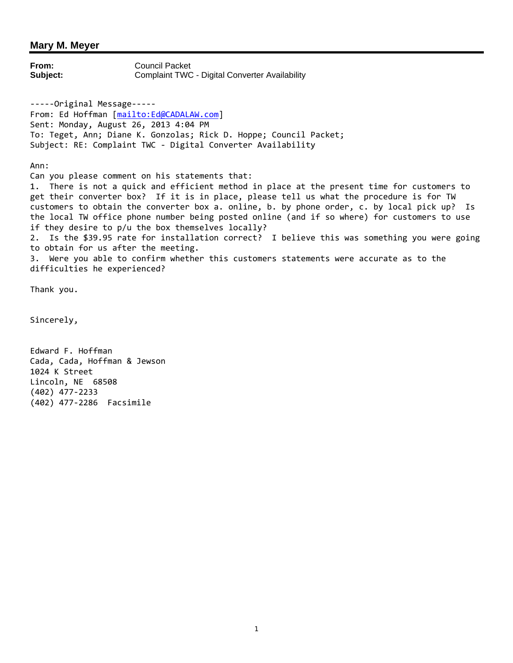**From:** Council Packet **Subject:** Complaint TWC - Digital Converter Availability -----Original Message----- From: Ed Hoffman [mailto:Ed@CADALAW.com] Sent: Monday, August 26, 2013 4:04 PM To: Teget, Ann; Diane K. Gonzolas; Rick D. Hoppe; Council Packet; Subject: RE: Complaint TWC - Digital Converter Availability Ann: Can you please comment on his statements that: 1. There is not a quick and efficient method in place at the present time for customers to get their converter box? If it is in place, please tell us what the procedure is for TW customers to obtain the converter box a. online, b. by phone order, c. by local pick up? Is the local TW office phone number being posted online (and if so where) for customers to use if they desire to p/u the box themselves locally? 2. Is the \$39.95 rate for installation correct? I believe this was something you were going to obtain for us after the meeting.

3. Were you able to confirm whether this customers statements were accurate as to the difficulties he experienced?

Thank you.

Sincerely,

Edward F. Hoffman Cada, Cada, Hoffman & Jewson 1024 K Street Lincoln, NE 68508 (402) 477-2233 (402) 477-2286 Facsimile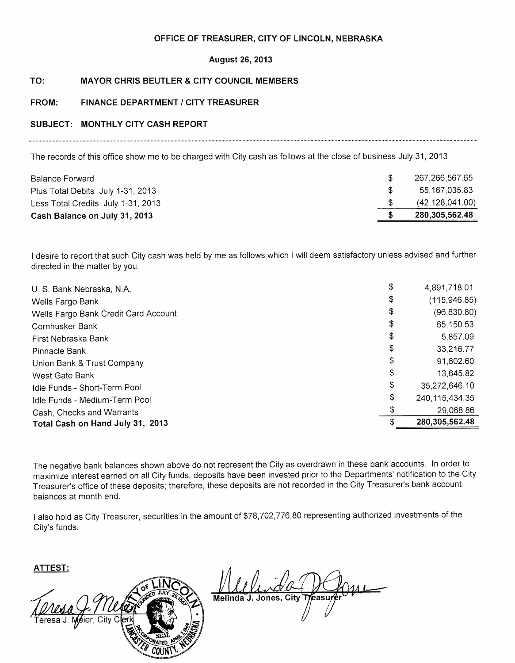### OFFICE OF TREASURER, CITY OF LINCOLN, NEBRASKA

### **August 26, 2013**

### TO: **MAYOR CHRIS BEUTLER & CITY COUNCIL MEMBERS**

### FROM: **FINANCE DEPARTMENT / CITY TREASURER**

### SUBJECT: MONTHLY CITY CASH REPORT

The records of this office show me to be charged with City cash as follows at the close of business July 31, 2013

| Cash Balance on July 31, 2013      | 280,305,562.48    |
|------------------------------------|-------------------|
| Less Total Credits July 1-31, 2013 | (42, 128, 041.00) |
| Plus Total Debits July 1-31, 2013  | 55.167.035.83     |
| <b>Balance Forward</b>             | 267.266.567.65    |

I desire to report that such City cash was held by me as follows which I will deem satisfactory unless advised and further directed in the matter by you.

| U. S. Bank Nebraska, N.A.            | \$<br>4,891,718.01      |
|--------------------------------------|-------------------------|
| Wells Fargo Bank                     | \$<br>(115, 946.85)     |
| Wells Fargo Bank Credit Card Account | \$<br>(96, 830.80)      |
| Cornhusker Bank                      | \$<br>65,150.53         |
| First Nebraska Bank                  | \$<br>5,857.09          |
| Pinnacle Bank                        | \$<br>33,216.77         |
| Union Bank & Trust Company           | \$<br>91,602.60         |
| West Gate Bank                       | \$<br>13,645.82         |
| Idle Funds - Short-Term Pool         | \$<br>35,272,646.10     |
| Idle Funds - Medium-Term Pool        | \$<br>240, 115, 434. 35 |
| Cash, Checks and Warrants            | 29,068.86               |
| Total Cash on Hand July 31, 2013     | 280,305,562.48          |

The negative bank balances shown above do not represent the City as overdrawn in these bank accounts. In order to maximize interest earned on all City funds, deposits have been invested prior to the Departments' notification to the City Treasurer's office of these deposits; therefore, these deposits are not recorded in the City Treasurer's bank account balances at month end.

I also hold as City Treasurer, securities in the amount of \$78,702,776.80 representing authorized investments of the City's funds.

**ATTEST:** 



Melinda J. Jones, City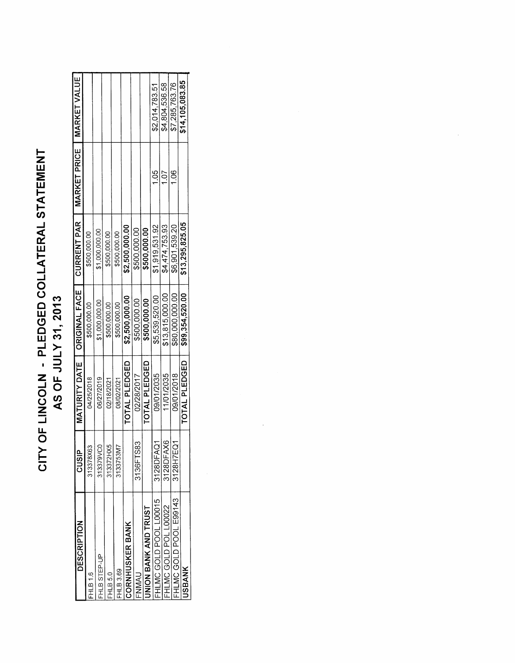# CITY OF LINCOLN - PLEDGED COLLATERAL STATEMENT AS OF JULY 31, 2013

| DESCRIPTION            | <b>CUSIP</b> | MATURITY DATE   ORIGINAL FACE |                 | CURRENT PAR     | MARKET PRICE   MARKET VALUE |                 |
|------------------------|--------------|-------------------------------|-----------------|-----------------|-----------------------------|-----------------|
| <b>FHLB1.6</b>         | 313378X63    | 04/25/2018                    | \$500,000.00    | \$500,000.00    |                             |                 |
| <b>FHLB STEP-UP</b>    | 8<br>313379V | 06/27/2019                    | \$1,000,000.00  | \$1,000,000.00  |                             |                 |
| FHLB5.0                | 313372HX5    | 02/18/2021                    | \$500,000.00    | \$500,000.00    |                             |                 |
| HLB 3.69               | 3133753M7    | 08/02/2021                    | \$500,000.00    | \$500,000.00    |                             |                 |
| <b>CORNHUSKER BANK</b> |              | TOTAL PLEDGED                 | \$2,500,000.00  | \$2,500,000.00  |                             |                 |
| FNMAU                  | 3136FTS83    | 02/28/2017                    | \$500,000.00    | \$500,000.00    |                             |                 |
| INION BANK AND TRUST   |              | <b>TOTAL PLEDGED</b>          | \$500,000.00    | \$500,000.00    |                             |                 |
| FHLMC GOLD POOL L00015 | 3128DFAQ1    | 09/01/2035                    | \$5,539,520.00  | \$1,919,531.92  | $\frac{65}{1}$              | \$2,014,783.51  |
| FHLMC GOLD POL L00022  | 3128DFAX6    | 11/01/2035                    | \$13,815,000.00 | \$4,474,753.93  | 1.07                        | \$4,804,536.58  |
| FHLMC GOLD POOL E99143 | 3128H7EQ1    | 09/01/2018                    | \$80,000,000.00 | \$6,901,539.20  | 1.06                        | \$7,285,763.76  |
| <b>JSBANK</b>          |              | TOTAL PLEDGED                 | \$99,354,520.00 | \$13,295,825.05 |                             | \$14,105,083.85 |
|                        |              |                               |                 |                 |                             |                 |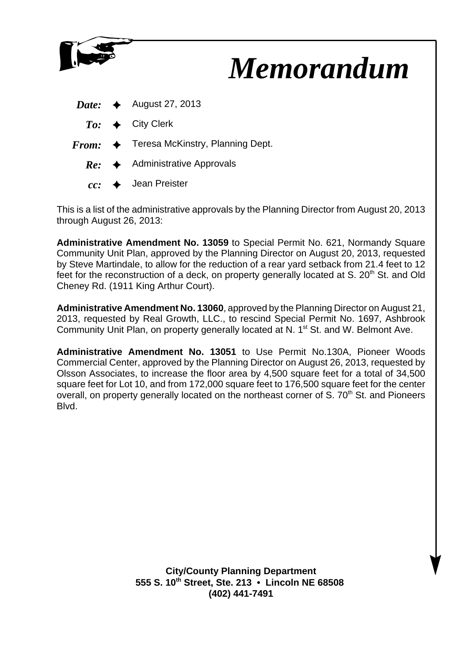

This is a list of the administrative approvals by the Planning Director from August 20, 2013 through August 26, 2013:

**Administrative Amendment No. 13059** to Special Permit No. 621, Normandy Square Community Unit Plan, approved by the Planning Director on August 20, 2013, requested by Steve Martindale, to allow for the reduction of a rear yard setback from 21.4 feet to 12 feet for the reconstruction of a deck, on property generally located at S.  $20<sup>th</sup>$  St. and Old Cheney Rd. (1911 King Arthur Court).

**Administrative Amendment No. 13060**, approved by the Planning Director on August 21, 2013, requested by Real Growth, LLC., to rescind Special Permit No. 1697, Ashbrook Community Unit Plan, on property generally located at N. 1<sup>st</sup> St. and W. Belmont Ave.

**Administrative Amendment No. 13051** to Use Permit No.130A, Pioneer Woods Commercial Center, approved by the Planning Director on August 26, 2013, requested by Olsson Associates, to increase the floor area by 4,500 square feet for a total of 34,500 square feet for Lot 10, and from 172,000 square feet to 176,500 square feet for the center overall, on property generally located on the northeast corner of S. 70<sup>th</sup> St. and Pioneers Blvd.

> **City/County Planning Department 555 S. 10th Street, Ste. 213 • Lincoln NE 68508 (402) 441-7491**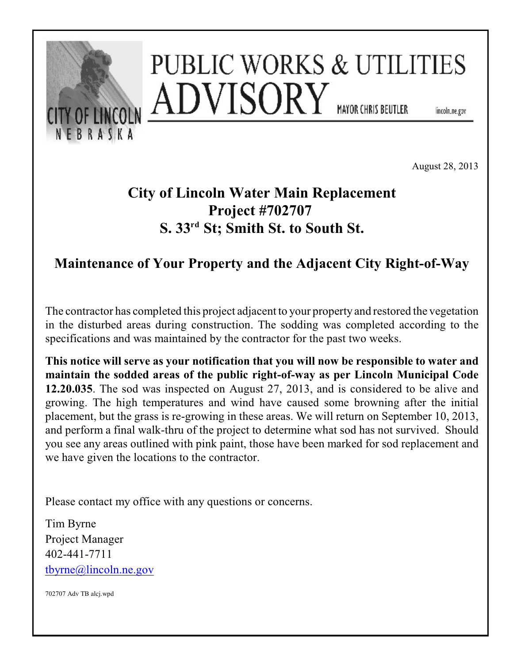

August 28, 2013

# **City of Lincoln Water Main Replacement Project #702707 S. 33<sup>rd</sup> St; Smith St. to South St.**

## **Maintenance of Your Property and the Adjacent City Right-of-Way**

The contractor has completed this project adjacent to your property and restored the vegetation in the disturbed areas during construction. The sodding was completed according to the specifications and was maintained by the contractor for the past two weeks.

**This notice will serve as your notification that you will now be responsible to water and maintain the sodded areas of the public right-of-way as per Lincoln Municipal Code 12.20.035**. The sod was inspected on August 27, 2013, and is considered to be alive and growing. The high temperatures and wind have caused some browning after the initial placement, but the grass is re-growing in these areas. We will return on September 10, 2013, and perform a final walk-thru of the project to determine what sod has not survived. Should you see any areas outlined with pink paint, those have been marked for sod replacement and we have given the locations to the contractor.

Please contact my office with any questions or concerns.

Tim Byrne Project Manager 402-441-7711 [tbyrne@lincoln.ne.gov](mailto:tbyrne@lincoln.ne.gov)

702707 Adv TB alcj.wpd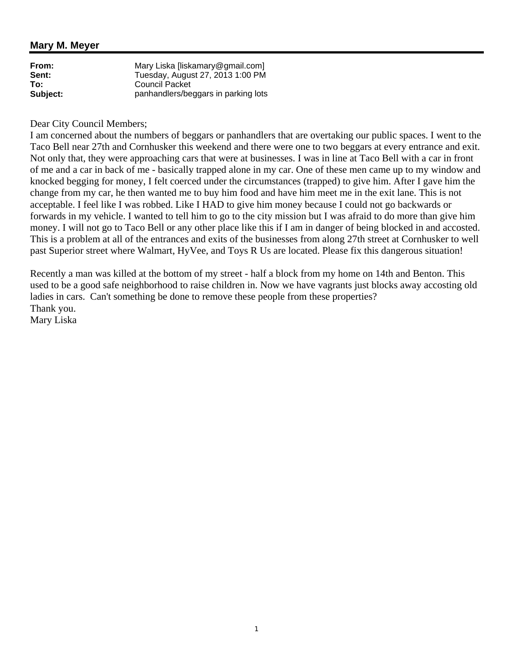| From:    | Mary Liska [liskamary@gmail.com]    |
|----------|-------------------------------------|
| Sent:    | Tuesday, August 27, 2013 1:00 PM    |
| To:      | <b>Council Packet</b>               |
| Subject: | panhandlers/beggars in parking lots |

### Dear City Council Members;

I am concerned about the numbers of beggars or panhandlers that are overtaking our public spaces. I went to the Taco Bell near 27th and Cornhusker this weekend and there were one to two beggars at every entrance and exit. Not only that, they were approaching cars that were at businesses. I was in line at Taco Bell with a car in front of me and a car in back of me - basically trapped alone in my car. One of these men came up to my window and knocked begging for money, I felt coerced under the circumstances (trapped) to give him. After I gave him the change from my car, he then wanted me to buy him food and have him meet me in the exit lane. This is not acceptable. I feel like I was robbed. Like I HAD to give him money because I could not go backwards or forwards in my vehicle. I wanted to tell him to go to the city mission but I was afraid to do more than give him money. I will not go to Taco Bell or any other place like this if I am in danger of being blocked in and accosted. This is a problem at all of the entrances and exits of the businesses from along 27th street at Cornhusker to well past Superior street where Walmart, HyVee, and Toys R Us are located. Please fix this dangerous situation!

Recently a man was killed at the bottom of my street - half a block from my home on 14th and Benton. This used to be a good safe neighborhood to raise children in. Now we have vagrants just blocks away accosting old ladies in cars. Can't something be done to remove these people from these properties? Thank you.

Mary Liska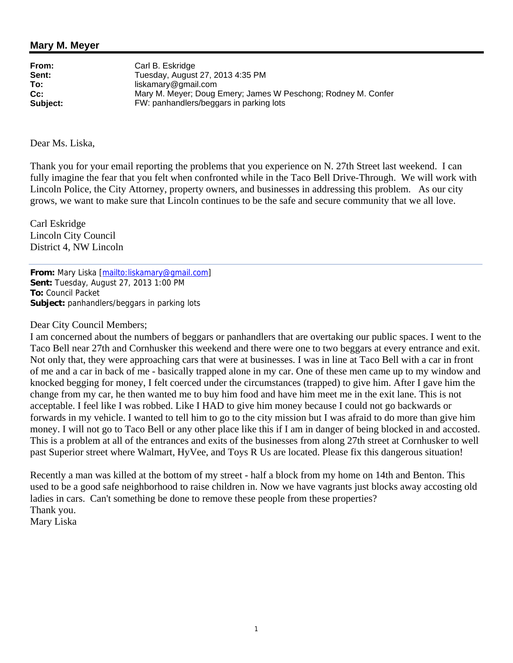**From:** Carl B. Eskridge<br> **Sent:** Tuesdav. Augus **Sent:** Tuesday, August 27, 2013 4:35 PM **To:** liskamary@gmail.com **Cc:** Mary M. Meyer; Doug Emery; James W Peschong; Rodney M. Confer **Subject:** FW: panhandlers/beggars in parking lots

Dear Ms. Liska,

Thank you for your email reporting the problems that you experience on N. 27th Street last weekend. I can fully imagine the fear that you felt when confronted while in the Taco Bell Drive-Through. We will work with Lincoln Police, the City Attorney, property owners, and businesses in addressing this problem. As our city grows, we want to make sure that Lincoln continues to be the safe and secure community that we all love.

Carl Eskridge Lincoln City Council District 4, NW Lincoln

**From:** Mary Liska [mailto:liskamary@gmail.com] **Sent:** Tuesday, August 27, 2013 1:00 PM **To:** Council Packet **Subject:** panhandlers/beggars in parking lots

### Dear City Council Members;

I am concerned about the numbers of beggars or panhandlers that are overtaking our public spaces. I went to the Taco Bell near 27th and Cornhusker this weekend and there were one to two beggars at every entrance and exit. Not only that, they were approaching cars that were at businesses. I was in line at Taco Bell with a car in front of me and a car in back of me - basically trapped alone in my car. One of these men came up to my window and knocked begging for money, I felt coerced under the circumstances (trapped) to give him. After I gave him the change from my car, he then wanted me to buy him food and have him meet me in the exit lane. This is not acceptable. I feel like I was robbed. Like I HAD to give him money because I could not go backwards or forwards in my vehicle. I wanted to tell him to go to the city mission but I was afraid to do more than give him money. I will not go to Taco Bell or any other place like this if I am in danger of being blocked in and accosted. This is a problem at all of the entrances and exits of the businesses from along 27th street at Cornhusker to well past Superior street where Walmart, HyVee, and Toys R Us are located. Please fix this dangerous situation!

Recently a man was killed at the bottom of my street - half a block from my home on 14th and Benton. This used to be a good safe neighborhood to raise children in. Now we have vagrants just blocks away accosting old ladies in cars. Can't something be done to remove these people from these properties? Thank you. Mary Liska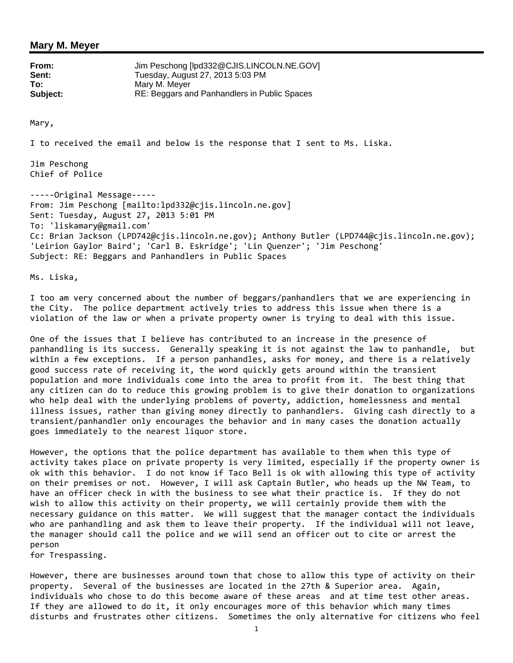| From:    | Jim Peschong [lpd332@CJIS.LINCOLN.NE.GOV]    |
|----------|----------------------------------------------|
| Sent:    | Tuesday, August 27, 2013 5:03 PM             |
| To:      | Mary M. Mever                                |
| Subject: | RE: Beggars and Panhandlers in Public Spaces |

Mary,

I to received the email and below is the response that I sent to Ms. Liska.

Jim Peschong Chief of Police

-----Original Message----- From: Jim Peschong [mailto:lpd332@cjis.lincoln.ne.gov] Sent: Tuesday, August 27, 2013 5:01 PM To: 'liskamary@gmail.com' Cc: Brian Jackson (LPD742@cjis.lincoln.ne.gov); Anthony Butler (LPD744@cjis.lincoln.ne.gov); 'Leirion Gaylor Baird'; 'Carl B. Eskridge'; 'Lin Quenzer'; 'Jim Peschong' Subject: RE: Beggars and Panhandlers in Public Spaces

Ms. Liska,

I too am very concerned about the number of beggars/panhandlers that we are experiencing in the City. The police department actively tries to address this issue when there is a violation of the law or when a private property owner is trying to deal with this issue.

One of the issues that I believe has contributed to an increase in the presence of panhandling is its success. Generally speaking it is not against the law to panhandle, but within a few exceptions. If a person panhandles, asks for money, and there is a relatively good success rate of receiving it, the word quickly gets around within the transient population and more individuals come into the area to profit from it. The best thing that any citizen can do to reduce this growing problem is to give their donation to organizations who help deal with the underlying problems of poverty, addiction, homelessness and mental illness issues, rather than giving money directly to panhandlers. Giving cash directly to a transient/panhandler only encourages the behavior and in many cases the donation actually goes immediately to the nearest liquor store.

However, the options that the police department has available to them when this type of activity takes place on private property is very limited, especially if the property owner is ok with this behavior. I do not know if Taco Bell is ok with allowing this type of activity on their premises or not. However, I will ask Captain Butler, who heads up the NW Team, to have an officer check in with the business to see what their practice is. If they do not wish to allow this activity on their property, we will certainly provide them with the necessary guidance on this matter. We will suggest that the manager contact the individuals who are panhandling and ask them to leave their property. If the individual will not leave, the manager should call the police and we will send an officer out to cite or arrest the person

for Trespassing.

However, there are businesses around town that chose to allow this type of activity on their property. Several of the businesses are located in the 27th & Superior area. Again, individuals who chose to do this become aware of these areas and at time test other areas. If they are allowed to do it, it only encourages more of this behavior which many times disturbs and frustrates other citizens. Sometimes the only alternative for citizens who feel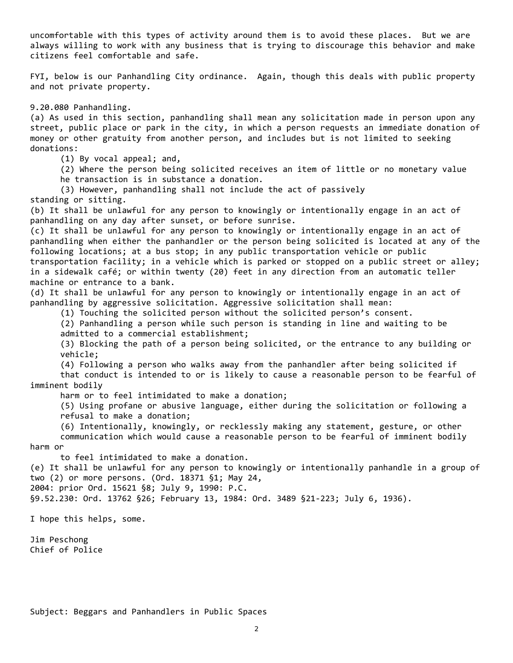uncomfortable with this types of activity around them is to avoid these places. But we are always willing to work with any business that is trying to discourage this behavior and make citizens feel comfortable and safe.

FYI, below is our Panhandling City ordinance. Again, though this deals with public property and not private property.

9.20.080 Panhandling.

(a) As used in this section, panhandling shall mean any solicitation made in person upon any street, public place or park in the city, in which a person requests an immediate donation of money or other gratuity from another person, and includes but is not limited to seeking donations:

(1) By vocal appeal; and,

(2) Where the person being solicited receives an item of little or no monetary value

he transaction is in substance a donation.

(3) However, panhandling shall not include the act of passively

standing or sitting.

(b) It shall be unlawful for any person to knowingly or intentionally engage in an act of panhandling on any day after sunset, or before sunrise.

(c) It shall be unlawful for any person to knowingly or intentionally engage in an act of panhandling when either the panhandler or the person being solicited is located at any of the following locations; at a bus stop; in any public transportation vehicle or public transportation facility; in a vehicle which is parked or stopped on a public street or alley; in a sidewalk café; or within twenty (20) feet in any direction from an automatic teller machine or entrance to a bank.

(d) It shall be unlawful for any person to knowingly or intentionally engage in an act of panhandling by aggressive solicitation. Aggressive solicitation shall mean:

(1) Touching the solicited person without the solicited person's consent.

 (2) Panhandling a person while such person is standing in line and waiting to be admitted to a commercial establishment;

 (3) Blocking the path of a person being solicited, or the entrance to any building or vehicle;

(4) Following a person who walks away from the panhandler after being solicited if

 that conduct is intended to or is likely to cause a reasonable person to be fearful of imminent bodily

harm or to feel intimidated to make a donation;

 (5) Using profane or abusive language, either during the solicitation or following a refusal to make a donation;

 (6) Intentionally, knowingly, or recklessly making any statement, gesture, or other communication which would cause a reasonable person to be fearful of imminent bodily harm or

to feel intimidated to make a donation.

(e) It shall be unlawful for any person to knowingly or intentionally panhandle in a group of two (2) or more persons. (Ord. 18371 §1; May 24,

2004: prior Ord. 15621 §8; July 9, 1990: P.C.

§9.52.230: Ord. 13762 §26; February 13, 1984: Ord. 3489 §21-223; July 6, 1936).

I hope this helps, some.

Jim Peschong Chief of Police

Subject: Beggars and Panhandlers in Public Spaces